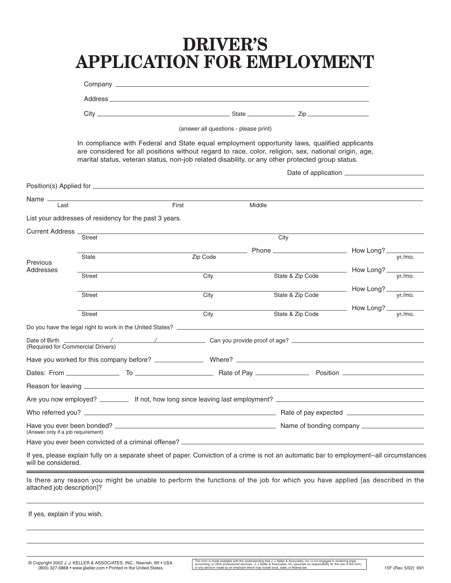# **DRIVER'S APPLICATION FOR EMPLOYMENT**

| (answer all questions - please print) |                                                        |          |                                                                                                                                                                                                                                                                                                          |                                                           |  |  |  |  |
|---------------------------------------|--------------------------------------------------------|----------|----------------------------------------------------------------------------------------------------------------------------------------------------------------------------------------------------------------------------------------------------------------------------------------------------------|-----------------------------------------------------------|--|--|--|--|
|                                       |                                                        |          | In compliance with Federal and State equal employment opportunity laws, qualified applicants<br>are considered for all positions without regard to race, color, religion, sex, national origin, age,<br>marital status, veteran status, non-job related disability, or any other protected group status. |                                                           |  |  |  |  |
|                                       |                                                        |          |                                                                                                                                                                                                                                                                                                          |                                                           |  |  |  |  |
|                                       |                                                        |          |                                                                                                                                                                                                                                                                                                          |                                                           |  |  |  |  |
| Name —<br>Last                        |                                                        | First    | Middle                                                                                                                                                                                                                                                                                                   |                                                           |  |  |  |  |
|                                       | List your addresses of residency for the past 3 years. |          |                                                                                                                                                                                                                                                                                                          |                                                           |  |  |  |  |
| Current Address _                     |                                                        |          |                                                                                                                                                                                                                                                                                                          |                                                           |  |  |  |  |
|                                       | <b>Street</b>                                          |          | City                                                                                                                                                                                                                                                                                                     |                                                           |  |  |  |  |
|                                       | State                                                  | Zip Code |                                                                                                                                                                                                                                                                                                          | vr./mo.                                                   |  |  |  |  |
| Previous<br>Addresses                 |                                                        |          |                                                                                                                                                                                                                                                                                                          |                                                           |  |  |  |  |
|                                       | Street                                                 | City     | State & Zip Code                                                                                                                                                                                                                                                                                         | $\frac{1}{\sqrt{1-\frac{y}{x}}}\$ How Long? $\frac{y}{y}$ |  |  |  |  |
|                                       | <b>Street</b>                                          | City     | State & Zip Code                                                                                                                                                                                                                                                                                         | $\frac{1}{\sqrt{1-\frac{y}{x}}}\$ How Long? $\frac{y}{y}$ |  |  |  |  |
|                                       |                                                        |          |                                                                                                                                                                                                                                                                                                          | How Long? ______                                          |  |  |  |  |
|                                       | <b>Street</b>                                          | City     | State & Zip Code                                                                                                                                                                                                                                                                                         | vr./mo.                                                   |  |  |  |  |
|                                       |                                                        |          |                                                                                                                                                                                                                                                                                                          |                                                           |  |  |  |  |
|                                       | (Required for Commercial Drivers)                      |          |                                                                                                                                                                                                                                                                                                          |                                                           |  |  |  |  |
|                                       |                                                        |          |                                                                                                                                                                                                                                                                                                          |                                                           |  |  |  |  |
|                                       |                                                        |          |                                                                                                                                                                                                                                                                                                          |                                                           |  |  |  |  |
|                                       |                                                        |          |                                                                                                                                                                                                                                                                                                          |                                                           |  |  |  |  |
|                                       |                                                        |          |                                                                                                                                                                                                                                                                                                          |                                                           |  |  |  |  |
|                                       |                                                        |          |                                                                                                                                                                                                                                                                                                          |                                                           |  |  |  |  |
| (Answer only if a job requirement)    |                                                        |          |                                                                                                                                                                                                                                                                                                          |                                                           |  |  |  |  |
|                                       | Have you ever been convicted of a criminal offense? _  |          |                                                                                                                                                                                                                                                                                                          |                                                           |  |  |  |  |
| will be considered.                   |                                                        |          | If yes, please explain fully on a separate sheet of paper. Conviction of a crime is not an automatic bar to employment--all circumstances                                                                                                                                                                |                                                           |  |  |  |  |
| attached job description]?            |                                                        |          | Is there any reason you might be unable to perform the functions of the job for which you have applied [as described in the                                                                                                                                                                              |                                                           |  |  |  |  |
| If yes, explain if you wish.          |                                                        |          |                                                                                                                                                                                                                                                                                                          |                                                           |  |  |  |  |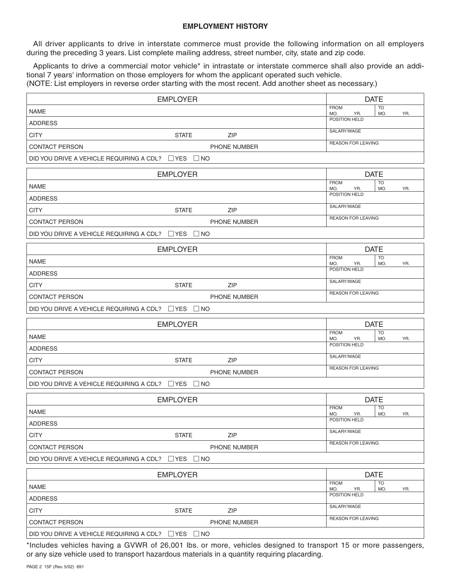# **EMPLOYMENT HISTORY**

All driver applicants to drive in interstate commerce must provide the following information on all employers during the preceding 3 years. List complete mailing address, street number, city, state and zip code.

Applicants to drive a commercial motor vehicle\* in intrastate or interstate commerce shall also provide an additional 7 years' information on those employers for whom the applicant operated such vehicle.

(NOTE: List employers in reverse order starting with the most recent. Add another sheet as necessary.)

|                                                               | <b>EMPLOYER</b>                                                                                                                                                                                                 | <b>DATE</b>                                          |
|---------------------------------------------------------------|-----------------------------------------------------------------------------------------------------------------------------------------------------------------------------------------------------------------|------------------------------------------------------|
| <b>NAME</b>                                                   |                                                                                                                                                                                                                 | <b>FROM</b><br><b>TO</b><br>MO.<br>YR.<br>MO.<br>YR. |
| <b>ADDRESS</b>                                                |                                                                                                                                                                                                                 | POSITION HELD                                        |
| <b>CITY</b>                                                   | <b>STATE</b><br><b>ZIP</b>                                                                                                                                                                                      | SALARY/WAGE                                          |
| <b>CONTACT PERSON</b>                                         | PHONE NUMBER                                                                                                                                                                                                    | <b>REASON FOR LEAVING</b>                            |
| DID YOU DRIVE A VEHICLE REQUIRING A CDL? $\Box$ YES $\Box$ NO |                                                                                                                                                                                                                 |                                                      |
|                                                               | <b>EMPLOYER</b>                                                                                                                                                                                                 | <b>DATE</b>                                          |
| <b>NAME</b>                                                   |                                                                                                                                                                                                                 | <b>FROM</b><br><b>TO</b><br>MO.<br>YR.<br>MO.<br>YR. |
| <b>ADDRESS</b>                                                |                                                                                                                                                                                                                 | POSITION HELD                                        |
| <b>CITY</b>                                                   | <b>STATE</b><br><b>ZIP</b>                                                                                                                                                                                      | SALARY/WAGE                                          |
| <b>CONTACT PERSON</b>                                         | <b>PHONE NUMBER</b>                                                                                                                                                                                             | <b>REASON FOR LEAVING</b>                            |
| DID YOU DRIVE A VEHICLE REQUIRING A CDL? $\Box$ YES $\Box$ NO |                                                                                                                                                                                                                 |                                                      |
|                                                               | <b>EMPLOYER</b>                                                                                                                                                                                                 | <b>DATE</b>                                          |
| <b>NAME</b>                                                   |                                                                                                                                                                                                                 | <b>FROM</b><br><b>TO</b>                             |
| <b>ADDRESS</b>                                                |                                                                                                                                                                                                                 | MO.<br>YR.<br>MO.<br>YR.<br>POSITION HELD            |
| <b>CITY</b>                                                   | <b>STATE</b><br><b>ZIP</b>                                                                                                                                                                                      | SALARY/WAGE                                          |
| <b>CONTACT PERSON</b>                                         | PHONE NUMBER                                                                                                                                                                                                    | <b>REASON FOR LEAVING</b>                            |
| DID YOU DRIVE A VEHICLE REQUIRING A CDL? $\Box$ YES $\Box$ NO |                                                                                                                                                                                                                 |                                                      |
|                                                               |                                                                                                                                                                                                                 |                                                      |
|                                                               | <b>EMPLOYER</b>                                                                                                                                                                                                 | <b>DATE</b><br><b>FROM</b><br><b>TO</b>              |
| <b>NAME</b>                                                   |                                                                                                                                                                                                                 | MO.<br>YR.<br>MO.<br>YR.<br>POSITION HELD            |
| <b>ADDRESS</b>                                                |                                                                                                                                                                                                                 | SALARY/WAGE                                          |
| <b>CITY</b>                                                   | <b>STATE</b><br><b>ZIP</b>                                                                                                                                                                                      | <b>REASON FOR LEAVING</b>                            |
| <b>CONTACT PERSON</b>                                         | <b>PHONE NUMBER</b>                                                                                                                                                                                             |                                                      |
| DID YOU DRIVE A VEHICLE REQUIRING A CDL? $\Box$ YES $\Box$ NO |                                                                                                                                                                                                                 |                                                      |
|                                                               | <b>EMPLOYER</b>                                                                                                                                                                                                 | <b>DATE</b>                                          |
| <b>NAME</b>                                                   |                                                                                                                                                                                                                 | <b>FROM</b><br><b>TO</b><br>MO.<br>MO.<br>YR.<br>YR. |
| <b>ADDRESS</b>                                                |                                                                                                                                                                                                                 | POSITION HELD                                        |
| <b>CITY</b>                                                   | <b>STATE</b><br>ZIP                                                                                                                                                                                             | SALARY/WAGE                                          |
| <b>CONTACT PERSON</b>                                         | PHONE NUMBER                                                                                                                                                                                                    | REASON FOR LEAVING                                   |
| DID YOU DRIVE A VEHICLE REQUIRING A CDL?                      | $\Box$ YES $\Box$ NO                                                                                                                                                                                            |                                                      |
|                                                               | <b>EMPLOYER</b>                                                                                                                                                                                                 | <b>DATE</b>                                          |
| <b>NAME</b>                                                   |                                                                                                                                                                                                                 | <b>FROM</b><br>TO<br>MO.<br>MO.<br>YR.<br>YR.        |
| <b>ADDRESS</b>                                                |                                                                                                                                                                                                                 | POSITION HELD                                        |
| <b>CITY</b>                                                   | <b>STATE</b><br>ZIP                                                                                                                                                                                             | SALARY/WAGE                                          |
| <b>CONTACT PERSON</b>                                         | PHONE NUMBER                                                                                                                                                                                                    | REASON FOR LEAVING                                   |
| DID YOU DRIVE A VEHICLE REQUIRING A CDL? □ YES □ NO           |                                                                                                                                                                                                                 |                                                      |
|                                                               | *Includes vehicles having a GVWR of 26,001 lbs. or more, vehicles designed to transport 15 or more passengers,<br>or any size vehicle used to transport hazardous materials in a quantity requiring placarding. |                                                      |

 $\sqrt{ }$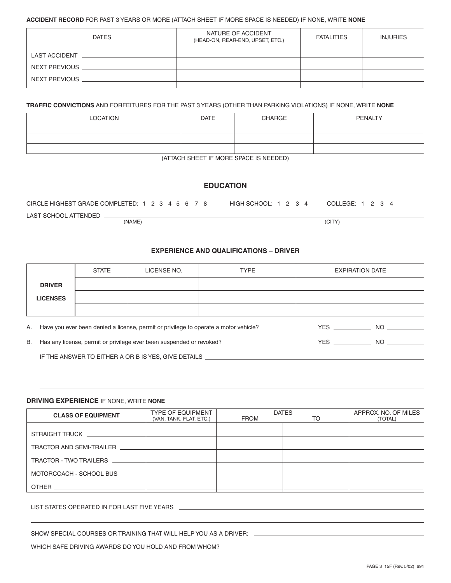## **ACCIDENT RECORD** FOR PAST 3 YEARS OR MORE (ATTACH SHEET IF MORE SPACE IS NEEDED) IF NONE, WRITE **NONE**

| <b>DATES</b>         | NATURE OF ACCIDENT<br>(HEAD-ON, REAR-END, UPSET, ETC.) | <b>FATALITIES</b> | <b>INJURIES</b> |
|----------------------|--------------------------------------------------------|-------------------|-----------------|
| <b>LAST ACCIDENT</b> |                                                        |                   |                 |
| NEXT PREVIOUS        |                                                        |                   |                 |
| NEXT PREVIOUS        |                                                        |                   |                 |
|                      |                                                        |                   |                 |

**TRAFFIC CONVICTIONS** AND FORFEITURES FOR THE PAST 3 YEARS (OTHER THAN PARKING VIOLATIONS) IF NONE, WRITE **NONE**

| <b>LOCATION</b> | <b>DATE</b> | <b>CHARGE</b> | <b>PENALTY</b> |  |
|-----------------|-------------|---------------|----------------|--|
|                 |             |               |                |  |
|                 |             |               |                |  |
|                 |             |               |                |  |

(ATTACH SHEET IF MORE SPACE IS NEEDED)

# **EDUCATION**

| CIRCLE HIGHEST GRADE COMPLETED: 1 2 3 4 5 6 7 8 |        |  | HIGH SCHOOL: $1\ 2\ 3\ 4$ | COLLEGE: 1 2 3 4 |
|-------------------------------------------------|--------|--|---------------------------|------------------|
| LAST SCHOOL ATTENDED                            |        |  |                           |                  |
|                                                 | (NAME) |  |                           | (CITY)           |

# **EXPERIENCE AND QUALIFICATIONS – DRIVER**

|    |                                                                                                | <b>STATE</b>                                                         | LICENSE NO. | <b>TYPE</b> |  | <b>EXPIRATION DATE</b> |  |
|----|------------------------------------------------------------------------------------------------|----------------------------------------------------------------------|-------------|-------------|--|------------------------|--|
|    | <b>DRIVER</b>                                                                                  |                                                                      |             |             |  |                        |  |
|    | <b>LICENSES</b>                                                                                |                                                                      |             |             |  |                        |  |
|    |                                                                                                |                                                                      |             |             |  |                        |  |
| A. | Have you ever been denied a license, permit or privilege to operate a motor vehicle?<br>YES NO |                                                                      |             |             |  |                        |  |
| B. |                                                                                                | Has any license, permit or privilege ever been suspended or revoked? |             | YES NO      |  |                        |  |
|    | IF THE ANSWER TO EITHER A OR B IS YES, GIVE DETAILS                                            |                                                                      |             |             |  |                        |  |

#### **DRIVING EXPERIENCE** IF NONE, WRITE **NONE**

| <b>CLASS OF EQUIPMENT</b> | <b>TYPE OF EQUIPMENT</b><br>(VAN, TANK, FLAT, ETC.) | <b>FROM</b> | <b>DATES</b><br>TO | APPROX. NO. OF MILES<br>(TOTAL) |
|---------------------------|-----------------------------------------------------|-------------|--------------------|---------------------------------|
|                           |                                                     |             |                    |                                 |
| TRACTOR AND SEMI-TRAILER  |                                                     |             |                    |                                 |
| TRACTOR - TWO TRAILERS    |                                                     |             |                    |                                 |
| MOTORCOACH - SCHOOL BUS   |                                                     |             |                    |                                 |
| <b>OTHER</b>              |                                                     |             |                    |                                 |

LIST STATES OPERATED IN FOR LAST FIVE YEARS

SHOW SPECIAL COURSES OR TRAINING THAT WILL HELP YOU AS A DRIVER:

WHICH SAFE DRIVING AWARDS DO YOU HOLD AND FROM WHOM?